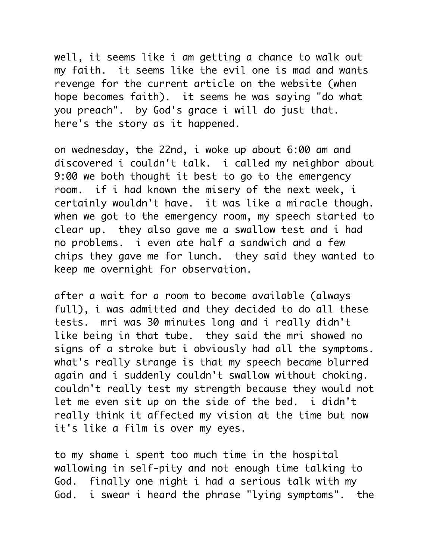well, it seems like i am getting a chance to walk out my faith. it seems like the evil one is mad and wants revenge for the current article on the website (when hope becomes faith). it seems he was saying "do what you preach". by God's grace i will do just that. here's the story as it happened.

on wednesday, the 22nd, i woke up about 6:00 am and discovered i couldn't talk. i called my neighbor about 9:00 we both thought it best to go to the emergency room. if i had known the misery of the next week, i certainly wouldn't have. it was like a miracle though. when we got to the emergency room, my speech started to clear up. they also gave me a swallow test and i had no problems. i even ate half a sandwich and a few chips they gave me for lunch. they said they wanted to keep me overnight for observation.

after a wait for a room to become available (always full), i was admitted and they decided to do all these tests. mri was 30 minutes long and i really didn't like being in that tube. they said the mri showed no signs of a stroke but i obviously had all the symptoms. what's really strange is that my speech became blurred again and i suddenly couldn't swallow without choking. couldn't really test my strength because they would not let me even sit up on the side of the bed. i didn't really think it affected my vision at the time but now it's like a film is over my eyes.

to my shame i spent too much time in the hospital wallowing in self-pity and not enough time talking to God. finally one night i had a serious talk with my God. i swear i heard the phrase "lying symptoms". the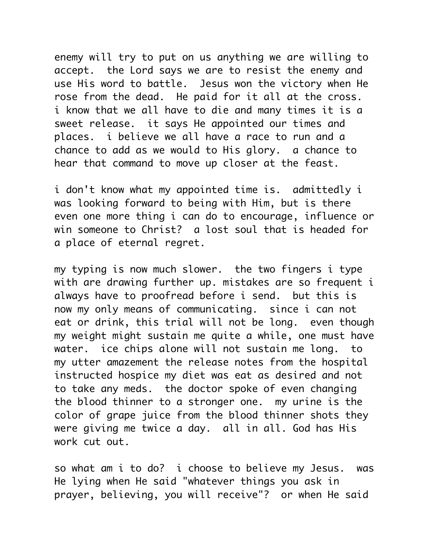enemy will try to put on us anything we are willing to accept. the Lord says we are to resist the enemy and use His word to battle. Jesus won the victory when He rose from the dead. He paid for it all at the cross. i know that we all have to die and many times it is a sweet release. it says He appointed our times and places. i believe we all have a race to run and a chance to add as we would to His glory. a chance to hear that command to move up closer at the feast.

i don't know what my appointed time is. admittedly i was looking forward to being with Him, but is there even one more thing i can do to encourage, influence or win someone to Christ? a lost soul that is headed for a place of eternal regret.

my typing is now much slower. the two fingers i type with are drawing further up. mistakes are so frequent i always have to proofread before i send. but this is now my only means of communicating. since i can not eat or drink, this trial will not be long. even though my weight might sustain me quite a while, one must have water. ice chips alone will not sustain me long. to my utter amazement the release notes from the hospital instructed hospice my diet was eat as desired and not to take any meds. the doctor spoke of even changing the blood thinner to a stronger one. my urine is the color of grape juice from the blood thinner shots they were giving me twice a day. all in all. God has His work cut out.

so what am i to do? i choose to believe my Jesus. was He lying when He said "whatever things you ask in prayer, believing, you will receive"? or when He said